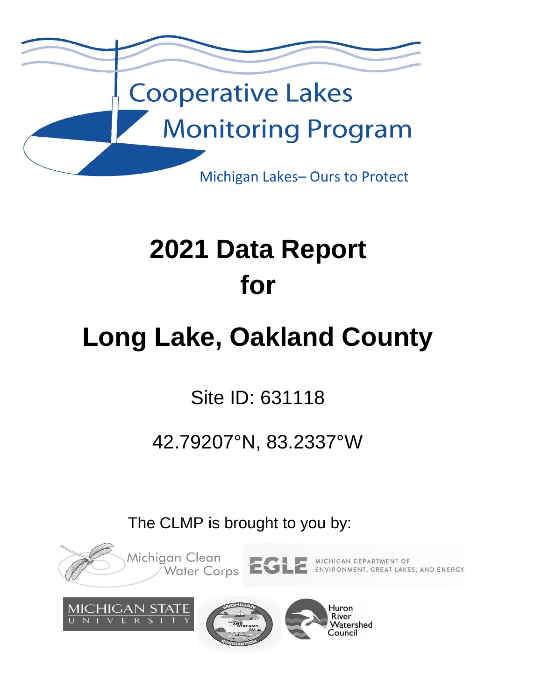

# **2021 Data Report for**

# **Long Lake, Oakland County**

# Site ID: 631118

# 42.79207°N, 83.2337°W

The CLMP is brought to you by:

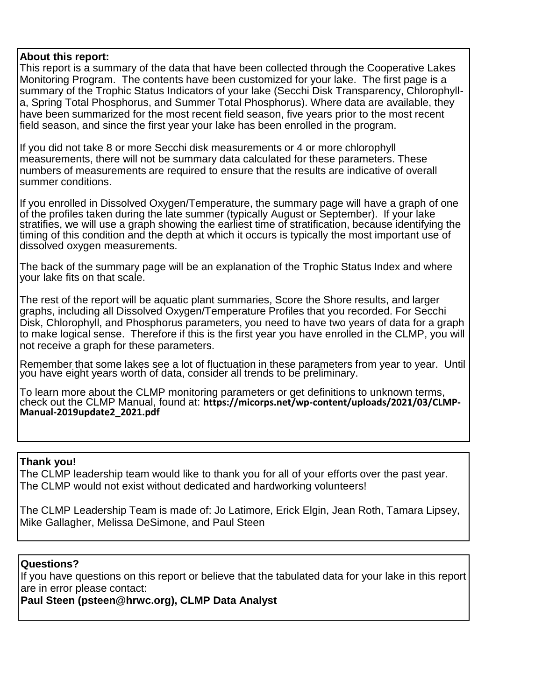### **About this report:**

This report is a summary of the data that have been collected through the Cooperative Lakes Monitoring Program. The contents have been customized for your lake. The first page is a summary of the Trophic Status Indicators of your lake (Secchi Disk Transparency, Chlorophylla, Spring Total Phosphorus, and Summer Total Phosphorus). Where data are available, they have been summarized for the most recent field season, five years prior to the most recent field season, and since the first year your lake has been enrolled in the program.

If you did not take 8 or more Secchi disk measurements or 4 or more chlorophyll measurements, there will not be summary data calculated for these parameters. These numbers of measurements are required to ensure that the results are indicative of overall summer conditions.

If you enrolled in Dissolved Oxygen/Temperature, the summary page will have a graph of one of the profiles taken during the late summer (typically August or September). If your lake stratifies, we will use a graph showing the earliest time of stratification, because identifying the timing of this condition and the depth at which it occurs is typically the most important use of dissolved oxygen measurements.

The back of the summary page will be an explanation of the Trophic Status Index and where your lake fits on that scale.

The rest of the report will be aquatic plant summaries, Score the Shore results, and larger graphs, including all Dissolved Oxygen/Temperature Profiles that you recorded. For Secchi Disk, Chlorophyll, and Phosphorus parameters, you need to have two years of data for a graph to make logical sense. Therefore if this is the first year you have enrolled in the CLMP, you will not receive a graph for these parameters.

[Remember that some lakes see a lot of fluctuation in these parameters from year to year. Until](https://micorps.net/wp-content/uploads/2021/03/CLMP-Manual-2019update2_2021.pdf)  you have eight years worth of data, consider all trends to be preliminary.

To learn more about the CLMP monitoring parameters or get definitions to unknown terms, check out the CLMP Manual, found at: **https://micorps.net/wp-content/uploads/2021/03/CLMP-Manual-2019update2\_2021.pdf**

### **Thank you!**

The CLMP leadership team would like to thank you for all of your efforts over the past year. The CLMP would not exist without dedicated and hardworking volunteers!

The CLMP Leadership Team is made of: Jo Latimore, Erick Elgin, Jean Roth, Tamara Lipsey, Mike Gallagher, Melissa DeSimone, and Paul Steen

### **Questions?**

If you have questions on this report or believe that the tabulated data for your lake in this report are in error please contact:

**Paul Steen (psteen@hrwc.org), CLMP Data Analyst**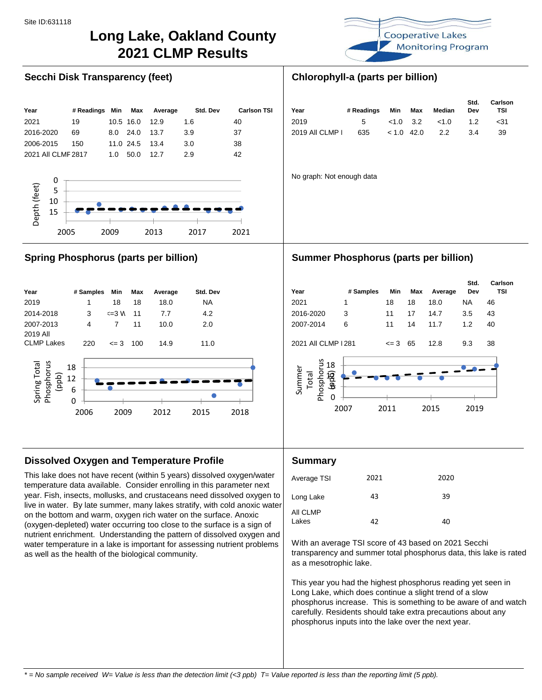## **Long Lake, Oakland County 2021 CLMP Results**



### **Secchi Disk Transparency (feet) Chlorophyll-a (parts per billion)**

| Year               | # Readings | Min | Max       | Average | Std. Dev | <b>Carlson TSI</b> | Year            | # Readings | Min   | Max  | Median | Std.<br>Dev | Carlso<br>TSI |
|--------------------|------------|-----|-----------|---------|----------|--------------------|-----------------|------------|-------|------|--------|-------------|---------------|
| 2021               | 19         |     | 10.5 16.0 | 12.9    |          | 40                 | 2019            | 5          | < 1.0 | 3.2  | < 1.0  | 1.2         | $31$          |
| 2016-2020          | 69         | 8.0 | 24.0      | 13.7    | 3.9      | 37                 | 2019 All CLMP I | 635        | ~1.0  | 42.0 | 2.2    | 3.4         | 39            |
| 2006-2015          | 150        |     | 11.0 24.5 | 13.4    | 3.0      | 38                 |                 |            |       |      |        |             |               |
| 2021 All CLMF 2817 |            | 1.0 | 50.0      | 12.7    | 2.9      | 42                 |                 |            |       |      |        |             |               |





0

### **Dissolved Oxygen and Temperature Profile Fig. 3. Summary**

This lake does not have recent (within 5 years) dissolved oxygen/water temperature data available. Consider enrolling in this parameter next year. Fish, insects, mollusks, and crustaceans need dissolved oxygen to live in water. By late summer, many lakes stratify, with cold anoxic water on the bottom and warm, oxygen rich water on the surface. Anoxic (oxygen-depleted) water occurring too close to the surface is a sign of nutrient enrichment. Understanding the pattern of dissolved oxygen and water temperature in a lake is important for assessing nutrient problems as well as the health of the biological community.

2006 2009 2012 2015 2018

| Year            | # Readings | Min | Max          | Median            | Std.<br>Dev | Carlson<br>TSI |
|-----------------|------------|-----|--------------|-------------------|-------------|----------------|
| 2019            | 5          |     |              | $<1.0$ 3.2 $<1.0$ | 1.2         | $31$           |
| 2019 All CLMP I | 635        |     | $< 1.0$ 42.0 | 2.2               | 3.4         | 39             |

No graph: Not enough data

### **Spring Phosphorus (parts per billion) Summer Phosphorus (parts per billion)**



| Average TSI       | 2021 | 2020 |
|-------------------|------|------|
| Long Lake         | 43   | 39   |
| All CLMP<br>Lakes | 42   | 40   |

With an average TSI score of 43 based on 2021 Secchi transparency and summer total phosphorus data, this lake is rated as a mesotrophic lake.

This year you had the highest phosphorus reading yet seen in Long Lake, which does continue a slight trend of a slow phosphorus increase. This is something to be aware of and watch carefully. Residents should take extra precautions about any phosphorus inputs into the lake over the next year.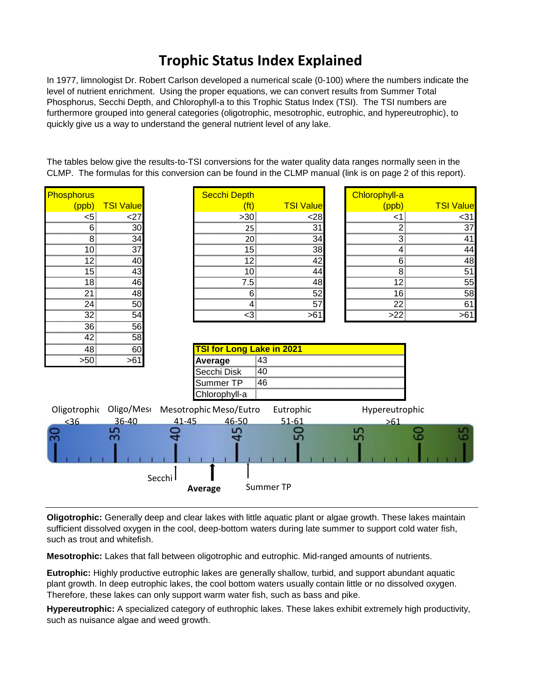## **Trophic Status Index Explained**

In 1977, limnologist Dr. Robert Carlson developed a numerical scale (0-100) where the numbers indicate the level of nutrient enrichment. Using the proper equations, we can convert results from Summer Total Phosphorus, Secchi Depth, and Chlorophyll-a to this Trophic Status Index (TSI). The TSI numbers are furthermore grouped into general categories (oligotrophic, mesotrophic, eutrophic, and hypereutrophic), to quickly give us a way to understand the general nutrient level of any lake.

The tables below give the results-to-TSI conversions for the water quality data ranges normally seen in the CLMP. The formulas for this conversion can be found in the CLMP manual (link is on page 2 of this report).

| Phosphorus<br>(ppb) | <b>TSI Value</b> |                     | <b>Secchi Depth</b>                            | (f <sup>t</sup> ) | <b>TSI Value</b> | Chlorophyll-a<br>(ppb) | <b>TSI Value</b> |
|---------------------|------------------|---------------------|------------------------------------------------|-------------------|------------------|------------------------|------------------|
| <5                  | 27>              |                     |                                                | >30               | <28              |                        | <31              |
|                     | 30               |                     |                                                | 25                | 31               |                        | 37               |
|                     | 34               |                     |                                                | 20                | 34               |                        | 41               |
|                     | <br>37           |                     |                                                | .5                | <br>38           |                        | <br>44           |
|                     | <br>40           |                     |                                                |                   | <br>42           |                        | <br>48           |
| 5                   | <br>43           |                     |                                                |                   | <br>44           |                        | <br>51           |
| 18                  | mm<br>46         |                     |                                                | 7.5               | 48               |                        |                  |
| 21                  | ասան<br>48       |                     |                                                | 6                 | umun<br>52       | 6                      | <u>55</u><br>58  |
| 24                  | 50               |                     |                                                |                   | uūmu<br>57       |                        | <br>61           |
| 32                  | 54               |                     |                                                | -3.               | >61              | >22                    | >61              |
| <br>36              | <br>56           |                     |                                                |                   |                  |                        |                  |
| <br>42              | ,,,,,,,,,,<br>58 |                     |                                                |                   |                  |                        |                  |
| 48                  | 60               |                     | <mark>TSI for Long Lake in 2021</mark>         |                   |                  |                        |                  |
| ասասան<br>>50       | <br>>61          |                     | Average                                        | 43                |                  |                        |                  |
|                     |                  |                     | <br><u>Secchi Diskann</u>                      |                   |                  |                        |                  |
|                     |                  |                     | Summer TP                                      | 46                |                  |                        |                  |
|                     |                  |                     | Chlorophyll-a                                  |                   |                  |                        |                  |
|                     |                  |                     |                                                |                   |                  |                        |                  |
|                     |                  |                     | Oligotrophic Oligo/Mes< Mesotrophic Meso/Eutro |                   | Eutrophic        | Hypereutrophic         |                  |
| $36$                | $36 - 40$        |                     | $41 - 45$                                      | 46-50             | $51 - 61$        | >61                    |                  |
|                     | ပ္ပ              |                     |                                                |                   |                  | Ь                      |                  |
|                     |                  |                     |                                                |                   |                  |                        |                  |
|                     |                  |                     |                                                |                   |                  |                        |                  |
|                     |                  | Secchi <sup>I</sup> |                                                |                   |                  |                        |                  |
|                     |                  |                     | Average                                        | Summer TP         |                  |                        |                  |

**Oligotrophic:** Generally deep and clear lakes with little aquatic plant or algae growth. These lakes maintain sufficient dissolved oxygen in the cool, deep-bottom waters during late summer to support cold water fish, such as trout and whitefish.

**Mesotrophic:** Lakes that fall between oligotrophic and eutrophic. Mid-ranged amounts of nutrients.

**Eutrophic:** Highly productive eutrophic lakes are generally shallow, turbid, and support abundant aquatic plant growth. In deep eutrophic lakes, the cool bottom waters usually contain little or no dissolved oxygen. Therefore, these lakes can only support warm water fish, such as bass and pike.

**Hypereutrophic:** A specialized category of euthrophic lakes. These lakes exhibit extremely high productivity, such as nuisance algae and weed growth.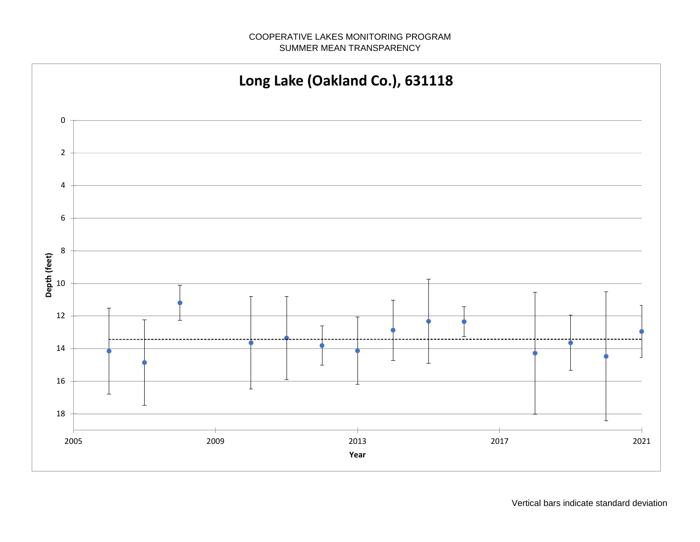### COOPERATIVE LAKES MONITORING PROGRAM SUMMER MEAN TRANSPARENCY



Vertical bars indicate standard deviation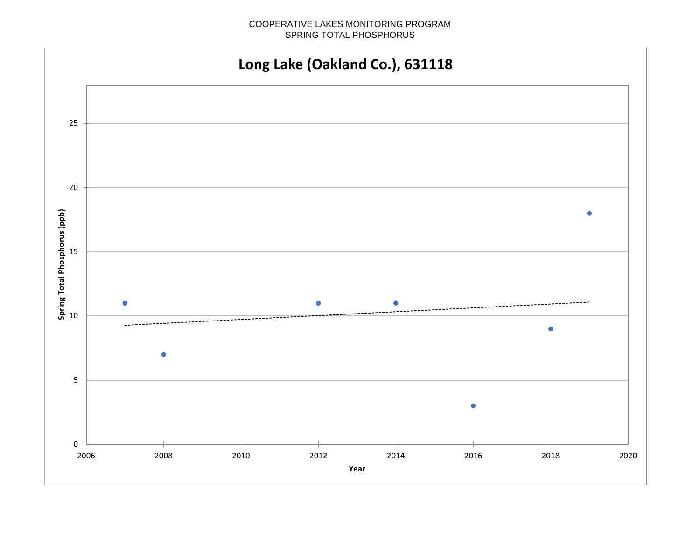### COOPERATIVE LAKES MONITORING PROGRAM SPRING TOTAL PHOSPHORUS